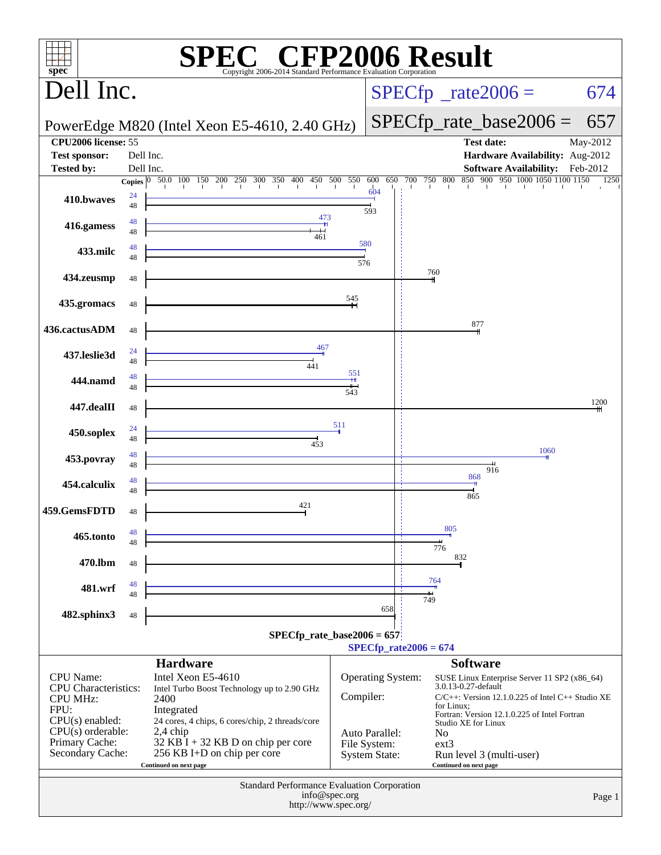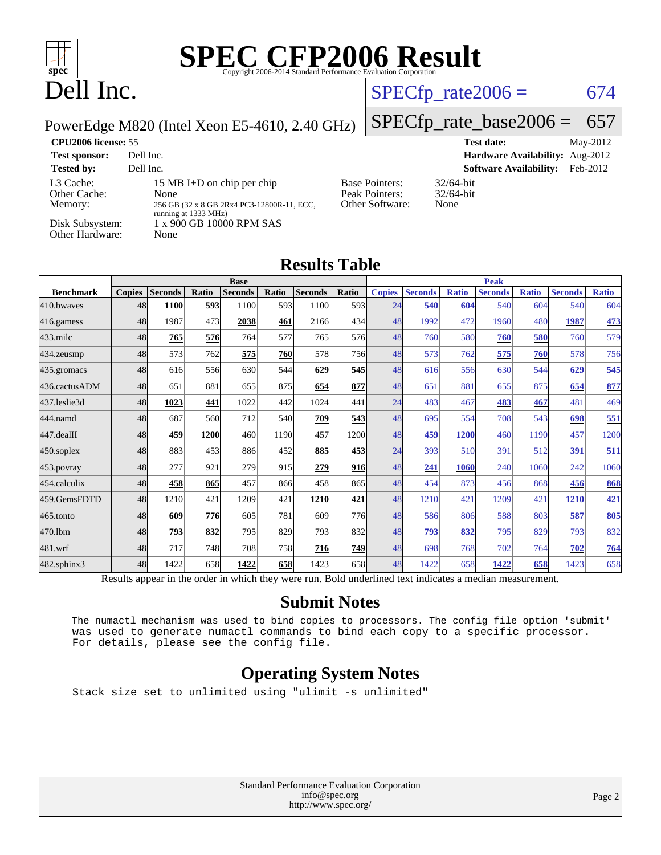## Dell Inc.

### $SPECfp_rate2006 = 674$  $SPECfp_rate2006 = 674$

PowerEdge M820 (Intel Xeon E5-4610, 2.40 GHz)

## [SPECfp\\_rate\\_base2006 =](http://www.spec.org/auto/cpu2006/Docs/result-fields.html#SPECfpratebase2006) 657

| <b>CPU2006 license: 55</b>                                                 |                                                                                                                                              |                                                            | <b>Test date:</b><br>May-2012             |
|----------------------------------------------------------------------------|----------------------------------------------------------------------------------------------------------------------------------------------|------------------------------------------------------------|-------------------------------------------|
| <b>Test sponsor:</b>                                                       | Dell Inc.                                                                                                                                    |                                                            | <b>Hardware Availability:</b> Aug-2012    |
| <b>Tested by:</b>                                                          | Dell Inc.                                                                                                                                    |                                                            | <b>Software Availability:</b><br>Feb-2012 |
| L3 Cache:<br>Other Cache:<br>Memory:<br>Disk Subsystem:<br>Other Hardware: | 15 MB I+D on chip per chip<br>None<br>256 GB (32 x 8 GB 2Rx4 PC3-12800R-11, ECC,<br>running at 1333 MHz)<br>1 x 900 GB 10000 RPM SAS<br>None | <b>Base Pointers:</b><br>Peak Pointers:<br>Other Software: | $32/64$ -bit<br>$32/64$ -bit<br>None      |

### **[Results Table](http://www.spec.org/auto/cpu2006/Docs/result-fields.html#ResultsTable)**

|                  | <b>Base</b>    |                 |              |                |       | <b>Peak</b>    |            |                      |                         |              |                |              |                |              |
|------------------|----------------|-----------------|--------------|----------------|-------|----------------|------------|----------------------|-------------------------|--------------|----------------|--------------|----------------|--------------|
| <b>Benchmark</b> | <b>Copies</b>  | <b>Seconds</b>  | Ratio        | <b>Seconds</b> | Ratio | <b>Seconds</b> | Ratio      | <b>Copies</b>        | <b>Seconds</b>          | <b>Ratio</b> | <b>Seconds</b> | <b>Ratio</b> | <b>Seconds</b> | <b>Ratio</b> |
| 410.bwayes       | 48             | 1100            | 593          | 1100           | 593   | 1100           | 593        | 24                   | 540                     | 604          | 540            | 604          | 540            | 604          |
| 416.gamess       | 48             | 1987            | 473          | 2038           | 461   | 2166           | 434        | 48                   | 1992                    | 472          | 1960           | 480          | 1987           | 473          |
| $433$ .milc      | 48             | 765             | 576          | 764            | 577   | 765            | 576        | 48                   | 760                     | 580          | 760            | 580          | 760            | 579          |
| 434.zeusmp       | 48             | 573             | 762          | 575            | 760   | 578            | 756        | 48                   | 573                     | 762          | 575            | 760          | 578            | 756          |
| 435.gromacs      | 48             | 616             | 556          | 630            | 544   | 629            | <b>545</b> | 48                   | 616                     | 556          | 630            | 544          | 629            | 545          |
| 436.cactusADM    | 48             | 651             | 881          | 655            | 875   | 654            | 877        | 48                   | 651                     | 881          | 655            | 875          | 654            | 877          |
| 437.leslie3d     | 48             | 1023            | 441          | 1022           | 442   | 1024           | 441        | 24                   | 483                     | 467          | 483            | 467          | 481            | 469          |
| 444.namd         | 48             | 687             | 560          | 712            | 540   | 709            | 543        | 48                   | 695                     | 554          | 708            | 543          | 698            | 551          |
| 447.dealII       | 48             | 459             | 1200         | 460            | 1190  | 457            | 1200       | 48                   | 459                     | 1200         | 460            | 1190         | 457            | 1200         |
| $450$ .soplex    | 48             | 883             | 453          | 886            | 452   | 885            | 453        | 24                   | 393                     | 510          | 391            | 512          | 391            | 511          |
| 453.povray       | 48             | 277             | 921          | 279            | 915   | 279            | 916        | 48                   | 241                     | 1060         | 240            | 1060         | 242            | 1060         |
| 454.calculix     | 48             | 458             | 865          | 457            | 866   | 458            | 865        | 48                   | 454                     | 873          | 456            | 868          | 456            | 868          |
| 459.GemsFDTD     | 48             | 1210            | 421          | 1209           | 421   | 1210           | 421        | 48                   | 1210                    | 421          | 1209           | 421          | 1210           | 421          |
| 465.tonto        | 48             | 609             | 776          | 605            | 781   | 609            | <b>776</b> | 48                   | 586                     | 806          | 588            | 803          | 587            | 805          |
| 470.1bm          | 48             | 793             | 832          | 795            | 829   | 793            | 832        | 48                   | 793                     | 832          | 795            | 829          | 793            | 832          |
| 481.wrf          | 48             | 717             | 748          | 708            | 758   | 716            | 749        | 48                   | 698                     | 768          | 702            | 764          | 702            | 764          |
| 482.sphinx3      | 48             | 1422            | 658          | 1422           | 658   | 1423           | 658        | 48                   | 1422                    | 658          | 1422           | 658          | 1423           | 658          |
| $\mathbf{r}$     | $\mathbf{1}$ . | $\cdot$ $\cdot$ | $\mathbf{I}$ | 1.1.1.1        |       |                | $T = 1.1$  | 1.11<br>$\mathbf{1}$ | $\cdot$ $\cdot$ $\cdot$ |              |                |              |                |              |

Results appear in the [order in which they were run.](http://www.spec.org/auto/cpu2006/Docs/result-fields.html#RunOrder) Bold underlined text [indicates a median measurement.](http://www.spec.org/auto/cpu2006/Docs/result-fields.html#Median)

#### **[Submit Notes](http://www.spec.org/auto/cpu2006/Docs/result-fields.html#SubmitNotes)**

 The numactl mechanism was used to bind copies to processors. The config file option 'submit' was used to generate numactl commands to bind each copy to a specific processor. For details, please see the config file.

### **[Operating System Notes](http://www.spec.org/auto/cpu2006/Docs/result-fields.html#OperatingSystemNotes)**

Stack size set to unlimited using "ulimit -s unlimited"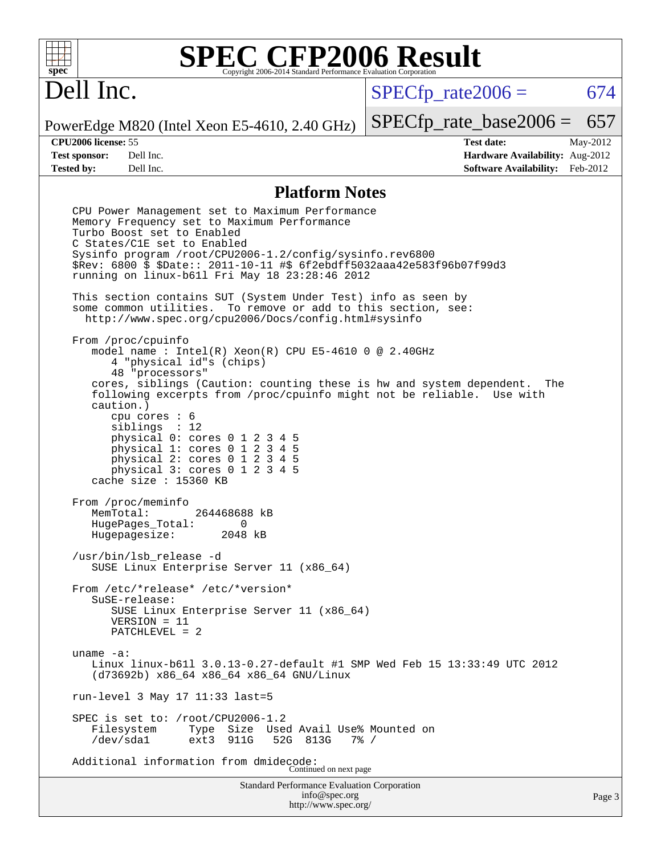

## Dell Inc.

 $SPECTp\_rate2006 = 674$ 

PowerEdge M820 (Intel Xeon E5-4610, 2.40 GHz)

[SPECfp\\_rate\\_base2006 =](http://www.spec.org/auto/cpu2006/Docs/result-fields.html#SPECfpratebase2006) 657

**[CPU2006 license:](http://www.spec.org/auto/cpu2006/Docs/result-fields.html#CPU2006license)** 55 **[Test date:](http://www.spec.org/auto/cpu2006/Docs/result-fields.html#Testdate)** May-2012 **[Test sponsor:](http://www.spec.org/auto/cpu2006/Docs/result-fields.html#Testsponsor)** Dell Inc. **[Hardware Availability:](http://www.spec.org/auto/cpu2006/Docs/result-fields.html#HardwareAvailability)** Aug-2012 **[Tested by:](http://www.spec.org/auto/cpu2006/Docs/result-fields.html#Testedby)** Dell Inc. **[Software Availability:](http://www.spec.org/auto/cpu2006/Docs/result-fields.html#SoftwareAvailability)** Feb-2012

#### **[Platform Notes](http://www.spec.org/auto/cpu2006/Docs/result-fields.html#PlatformNotes)**

Standard Performance Evaluation Corporation [info@spec.org](mailto:info@spec.org) Page 3 CPU Power Management set to Maximum Performance Memory Frequency set to Maximum Performance Turbo Boost set to Enabled C States/C1E set to Enabled Sysinfo program /root/CPU2006-1.2/config/sysinfo.rev6800 \$Rev: 6800 \$ \$Date:: 2011-10-11 #\$ 6f2ebdff5032aaa42e583f96b07f99d3 running on linux-b61l Fri May 18 23:28:46 2012 This section contains SUT (System Under Test) info as seen by some common utilities. To remove or add to this section, see: <http://www.spec.org/cpu2006/Docs/config.html#sysinfo> From /proc/cpuinfo model name : Intel(R) Xeon(R) CPU E5-4610 0 @ 2.40GHz 4 "physical id"s (chips) 48 "processors" cores, siblings (Caution: counting these is hw and system dependent. The following excerpts from /proc/cpuinfo might not be reliable. Use with caution.) cpu cores : 6 siblings : 12 physical 0: cores 0 1 2 3 4 5 physical 1: cores 0 1 2 3 4 5 physical 2: cores 0 1 2 3 4 5 physical 3: cores 0 1 2 3 4 5 cache size : 15360 KB From /proc/meminfo<br>MemTotal: 264468688 kB HugePages\_Total: 0 Hugepagesize: 2048 kB /usr/bin/lsb\_release -d SUSE Linux Enterprise Server 11 (x86\_64) From /etc/\*release\* /etc/\*version\* SuSE-release: SUSE Linux Enterprise Server 11 (x86\_64) VERSION = 11 PATCHLEVEL = 2 uname -a: Linux linux-b61l 3.0.13-0.27-default #1 SMP Wed Feb 15 13:33:49 UTC 2012 (d73692b) x86\_64 x86\_64 x86\_64 GNU/Linux run-level 3 May 17 11:33 last=5 SPEC is set to: /root/CPU2006-1.2 Filesystem Type Size Used Avail Use% Mounted on<br>
/dev/sdal ext3 911G 52G 813G 7% / 52G 813G Additional information from dmidecode: Continued on next page

<http://www.spec.org/>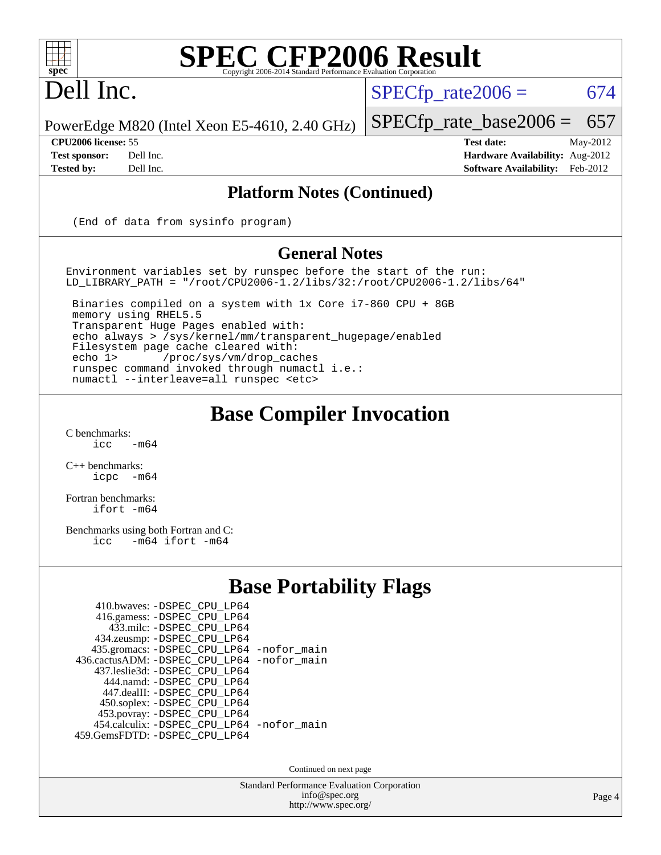

### Dell Inc.

 $SPECTp\_rate2006 = 674$ 

PowerEdge M820 (Intel Xeon E5-4610, 2.40 GHz)

[SPECfp\\_rate\\_base2006 =](http://www.spec.org/auto/cpu2006/Docs/result-fields.html#SPECfpratebase2006) 657 **[CPU2006 license:](http://www.spec.org/auto/cpu2006/Docs/result-fields.html#CPU2006license)** 55 **[Test date:](http://www.spec.org/auto/cpu2006/Docs/result-fields.html#Testdate)** May-2012

**[Test sponsor:](http://www.spec.org/auto/cpu2006/Docs/result-fields.html#Testsponsor)** Dell Inc. **[Hardware Availability:](http://www.spec.org/auto/cpu2006/Docs/result-fields.html#HardwareAvailability)** Aug-2012 **[Tested by:](http://www.spec.org/auto/cpu2006/Docs/result-fields.html#Testedby)** Dell Inc. **[Software Availability:](http://www.spec.org/auto/cpu2006/Docs/result-fields.html#SoftwareAvailability)** Feb-2012

#### **[Platform Notes \(Continued\)](http://www.spec.org/auto/cpu2006/Docs/result-fields.html#PlatformNotes)**

(End of data from sysinfo program)

#### **[General Notes](http://www.spec.org/auto/cpu2006/Docs/result-fields.html#GeneralNotes)**

Environment variables set by runspec before the start of the run: LD\_LIBRARY\_PATH = "/root/CPU2006-1.2/libs/32:/root/CPU2006-1.2/libs/64"

 Binaries compiled on a system with 1x Core i7-860 CPU + 8GB memory using RHEL5.5 Transparent Huge Pages enabled with: echo always > /sys/kernel/mm/transparent\_hugepage/enabled Filesystem page cache cleared with: echo 1> /proc/sys/vm/drop\_caches runspec command invoked through numactl i.e.: numactl --interleave=all runspec <etc>

### **[Base Compiler Invocation](http://www.spec.org/auto/cpu2006/Docs/result-fields.html#BaseCompilerInvocation)**

 $C$  benchmarks:<br>icc  $-m64$ 

[C++ benchmarks:](http://www.spec.org/auto/cpu2006/Docs/result-fields.html#CXXbenchmarks) [icpc -m64](http://www.spec.org/cpu2006/results/res2012q3/cpu2006-20120703-23412.flags.html#user_CXXbase_intel_icpc_64bit_bedb90c1146cab66620883ef4f41a67e)

[Fortran benchmarks](http://www.spec.org/auto/cpu2006/Docs/result-fields.html#Fortranbenchmarks): [ifort -m64](http://www.spec.org/cpu2006/results/res2012q3/cpu2006-20120703-23412.flags.html#user_FCbase_intel_ifort_64bit_ee9d0fb25645d0210d97eb0527dcc06e)

[Benchmarks using both Fortran and C](http://www.spec.org/auto/cpu2006/Docs/result-fields.html#BenchmarksusingbothFortranandC): [icc -m64](http://www.spec.org/cpu2006/results/res2012q3/cpu2006-20120703-23412.flags.html#user_CC_FCbase_intel_icc_64bit_0b7121f5ab7cfabee23d88897260401c) [ifort -m64](http://www.spec.org/cpu2006/results/res2012q3/cpu2006-20120703-23412.flags.html#user_CC_FCbase_intel_ifort_64bit_ee9d0fb25645d0210d97eb0527dcc06e)

### **[Base Portability Flags](http://www.spec.org/auto/cpu2006/Docs/result-fields.html#BasePortabilityFlags)**

| 410.bwaves: -DSPEC CPU LP64                |  |
|--------------------------------------------|--|
| 416.gamess: -DSPEC_CPU_LP64                |  |
| 433.milc: -DSPEC CPU LP64                  |  |
| 434.zeusmp: -DSPEC_CPU_LP64                |  |
| 435.gromacs: -DSPEC_CPU_LP64 -nofor_main   |  |
| 436.cactusADM: -DSPEC CPU LP64 -nofor main |  |
| 437.leslie3d: -DSPEC CPU LP64              |  |
| 444.namd: - DSPEC CPU LP64                 |  |
| 447.dealII: -DSPEC_CPU LP64                |  |
| 450.soplex: -DSPEC_CPU_LP64                |  |
| 453.povray: -DSPEC_CPU_LP64                |  |
| 454.calculix: - DSPEC_CPU_LP64 -nofor_main |  |
| 459. GemsFDTD: - DSPEC CPU LP64            |  |

Continued on next page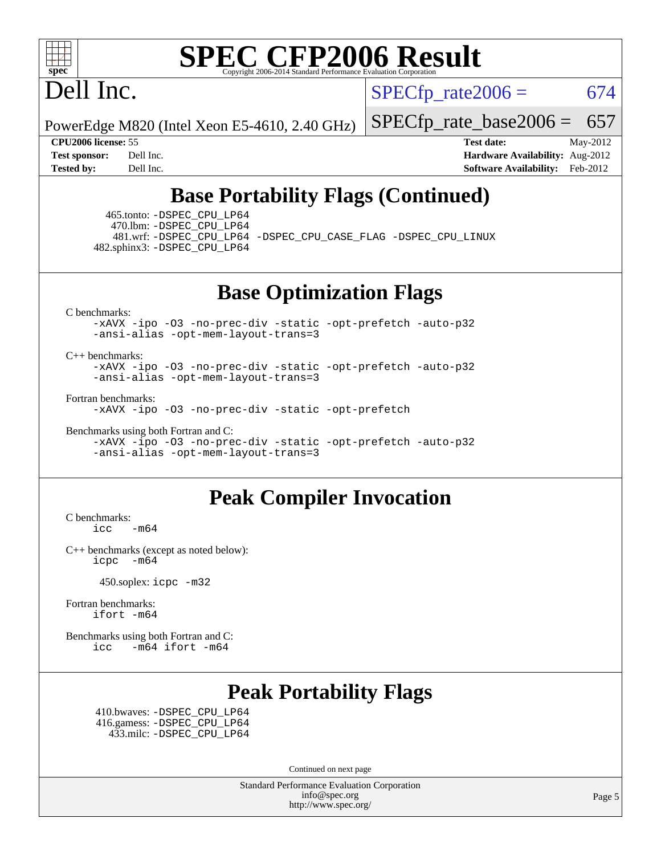

## Dell Inc.

 $SPECTp\_rate2006 = 674$ 

PowerEdge M820 (Intel Xeon E5-4610, 2.40 GHz)

[SPECfp\\_rate\\_base2006 =](http://www.spec.org/auto/cpu2006/Docs/result-fields.html#SPECfpratebase2006) 657

**[CPU2006 license:](http://www.spec.org/auto/cpu2006/Docs/result-fields.html#CPU2006license)** 55 **[Test date:](http://www.spec.org/auto/cpu2006/Docs/result-fields.html#Testdate)** May-2012 **[Test sponsor:](http://www.spec.org/auto/cpu2006/Docs/result-fields.html#Testsponsor)** Dell Inc. **[Hardware Availability:](http://www.spec.org/auto/cpu2006/Docs/result-fields.html#HardwareAvailability)** Aug-2012 **[Tested by:](http://www.spec.org/auto/cpu2006/Docs/result-fields.html#Testedby)** Dell Inc. **[Software Availability:](http://www.spec.org/auto/cpu2006/Docs/result-fields.html#SoftwareAvailability)** Feb-2012

### **[Base Portability Flags \(Continued\)](http://www.spec.org/auto/cpu2006/Docs/result-fields.html#BasePortabilityFlags)**

 465.tonto: [-DSPEC\\_CPU\\_LP64](http://www.spec.org/cpu2006/results/res2012q3/cpu2006-20120703-23412.flags.html#suite_basePORTABILITY465_tonto_DSPEC_CPU_LP64) 470.lbm: [-DSPEC\\_CPU\\_LP64](http://www.spec.org/cpu2006/results/res2012q3/cpu2006-20120703-23412.flags.html#suite_basePORTABILITY470_lbm_DSPEC_CPU_LP64)

 481.wrf: [-DSPEC\\_CPU\\_LP64](http://www.spec.org/cpu2006/results/res2012q3/cpu2006-20120703-23412.flags.html#suite_basePORTABILITY481_wrf_DSPEC_CPU_LP64) [-DSPEC\\_CPU\\_CASE\\_FLAG](http://www.spec.org/cpu2006/results/res2012q3/cpu2006-20120703-23412.flags.html#b481.wrf_baseCPORTABILITY_DSPEC_CPU_CASE_FLAG) [-DSPEC\\_CPU\\_LINUX](http://www.spec.org/cpu2006/results/res2012q3/cpu2006-20120703-23412.flags.html#b481.wrf_baseCPORTABILITY_DSPEC_CPU_LINUX) 482.sphinx3: [-DSPEC\\_CPU\\_LP64](http://www.spec.org/cpu2006/results/res2012q3/cpu2006-20120703-23412.flags.html#suite_basePORTABILITY482_sphinx3_DSPEC_CPU_LP64)

**[Base Optimization Flags](http://www.spec.org/auto/cpu2006/Docs/result-fields.html#BaseOptimizationFlags)**

[C benchmarks](http://www.spec.org/auto/cpu2006/Docs/result-fields.html#Cbenchmarks):

[-xAVX](http://www.spec.org/cpu2006/results/res2012q3/cpu2006-20120703-23412.flags.html#user_CCbase_f-xAVX) [-ipo](http://www.spec.org/cpu2006/results/res2012q3/cpu2006-20120703-23412.flags.html#user_CCbase_f-ipo) [-O3](http://www.spec.org/cpu2006/results/res2012q3/cpu2006-20120703-23412.flags.html#user_CCbase_f-O3) [-no-prec-div](http://www.spec.org/cpu2006/results/res2012q3/cpu2006-20120703-23412.flags.html#user_CCbase_f-no-prec-div) [-static](http://www.spec.org/cpu2006/results/res2012q3/cpu2006-20120703-23412.flags.html#user_CCbase_f-static) [-opt-prefetch](http://www.spec.org/cpu2006/results/res2012q3/cpu2006-20120703-23412.flags.html#user_CCbase_f-opt-prefetch) [-auto-p32](http://www.spec.org/cpu2006/results/res2012q3/cpu2006-20120703-23412.flags.html#user_CCbase_f-auto-p32) [-ansi-alias](http://www.spec.org/cpu2006/results/res2012q3/cpu2006-20120703-23412.flags.html#user_CCbase_f-ansi-alias) [-opt-mem-layout-trans=3](http://www.spec.org/cpu2006/results/res2012q3/cpu2006-20120703-23412.flags.html#user_CCbase_f-opt-mem-layout-trans_a7b82ad4bd7abf52556d4961a2ae94d5)

[C++ benchmarks:](http://www.spec.org/auto/cpu2006/Docs/result-fields.html#CXXbenchmarks)

[-xAVX](http://www.spec.org/cpu2006/results/res2012q3/cpu2006-20120703-23412.flags.html#user_CXXbase_f-xAVX) [-ipo](http://www.spec.org/cpu2006/results/res2012q3/cpu2006-20120703-23412.flags.html#user_CXXbase_f-ipo) [-O3](http://www.spec.org/cpu2006/results/res2012q3/cpu2006-20120703-23412.flags.html#user_CXXbase_f-O3) [-no-prec-div](http://www.spec.org/cpu2006/results/res2012q3/cpu2006-20120703-23412.flags.html#user_CXXbase_f-no-prec-div) [-static](http://www.spec.org/cpu2006/results/res2012q3/cpu2006-20120703-23412.flags.html#user_CXXbase_f-static) [-opt-prefetch](http://www.spec.org/cpu2006/results/res2012q3/cpu2006-20120703-23412.flags.html#user_CXXbase_f-opt-prefetch) [-auto-p32](http://www.spec.org/cpu2006/results/res2012q3/cpu2006-20120703-23412.flags.html#user_CXXbase_f-auto-p32) [-ansi-alias](http://www.spec.org/cpu2006/results/res2012q3/cpu2006-20120703-23412.flags.html#user_CXXbase_f-ansi-alias) [-opt-mem-layout-trans=3](http://www.spec.org/cpu2006/results/res2012q3/cpu2006-20120703-23412.flags.html#user_CXXbase_f-opt-mem-layout-trans_a7b82ad4bd7abf52556d4961a2ae94d5)

[Fortran benchmarks](http://www.spec.org/auto/cpu2006/Docs/result-fields.html#Fortranbenchmarks):

[-xAVX](http://www.spec.org/cpu2006/results/res2012q3/cpu2006-20120703-23412.flags.html#user_FCbase_f-xAVX) [-ipo](http://www.spec.org/cpu2006/results/res2012q3/cpu2006-20120703-23412.flags.html#user_FCbase_f-ipo) [-O3](http://www.spec.org/cpu2006/results/res2012q3/cpu2006-20120703-23412.flags.html#user_FCbase_f-O3) [-no-prec-div](http://www.spec.org/cpu2006/results/res2012q3/cpu2006-20120703-23412.flags.html#user_FCbase_f-no-prec-div) [-static](http://www.spec.org/cpu2006/results/res2012q3/cpu2006-20120703-23412.flags.html#user_FCbase_f-static) [-opt-prefetch](http://www.spec.org/cpu2006/results/res2012q3/cpu2006-20120703-23412.flags.html#user_FCbase_f-opt-prefetch)

[Benchmarks using both Fortran and C](http://www.spec.org/auto/cpu2006/Docs/result-fields.html#BenchmarksusingbothFortranandC):

[-xAVX](http://www.spec.org/cpu2006/results/res2012q3/cpu2006-20120703-23412.flags.html#user_CC_FCbase_f-xAVX) [-ipo](http://www.spec.org/cpu2006/results/res2012q3/cpu2006-20120703-23412.flags.html#user_CC_FCbase_f-ipo) [-O3](http://www.spec.org/cpu2006/results/res2012q3/cpu2006-20120703-23412.flags.html#user_CC_FCbase_f-O3) [-no-prec-div](http://www.spec.org/cpu2006/results/res2012q3/cpu2006-20120703-23412.flags.html#user_CC_FCbase_f-no-prec-div) [-static](http://www.spec.org/cpu2006/results/res2012q3/cpu2006-20120703-23412.flags.html#user_CC_FCbase_f-static) [-opt-prefetch](http://www.spec.org/cpu2006/results/res2012q3/cpu2006-20120703-23412.flags.html#user_CC_FCbase_f-opt-prefetch) [-auto-p32](http://www.spec.org/cpu2006/results/res2012q3/cpu2006-20120703-23412.flags.html#user_CC_FCbase_f-auto-p32) [-ansi-alias](http://www.spec.org/cpu2006/results/res2012q3/cpu2006-20120703-23412.flags.html#user_CC_FCbase_f-ansi-alias) [-opt-mem-layout-trans=3](http://www.spec.org/cpu2006/results/res2012q3/cpu2006-20120703-23412.flags.html#user_CC_FCbase_f-opt-mem-layout-trans_a7b82ad4bd7abf52556d4961a2ae94d5)

### **[Peak Compiler Invocation](http://www.spec.org/auto/cpu2006/Docs/result-fields.html#PeakCompilerInvocation)**

[C benchmarks](http://www.spec.org/auto/cpu2006/Docs/result-fields.html#Cbenchmarks):  $\text{icc}$   $-\text{m64}$ 

[C++ benchmarks \(except as noted below\):](http://www.spec.org/auto/cpu2006/Docs/result-fields.html#CXXbenchmarksexceptasnotedbelow) [icpc -m64](http://www.spec.org/cpu2006/results/res2012q3/cpu2006-20120703-23412.flags.html#user_CXXpeak_intel_icpc_64bit_bedb90c1146cab66620883ef4f41a67e)

450.soplex: [icpc -m32](http://www.spec.org/cpu2006/results/res2012q3/cpu2006-20120703-23412.flags.html#user_peakCXXLD450_soplex_intel_icpc_4e5a5ef1a53fd332b3c49e69c3330699)

[Fortran benchmarks](http://www.spec.org/auto/cpu2006/Docs/result-fields.html#Fortranbenchmarks): [ifort -m64](http://www.spec.org/cpu2006/results/res2012q3/cpu2006-20120703-23412.flags.html#user_FCpeak_intel_ifort_64bit_ee9d0fb25645d0210d97eb0527dcc06e)

[Benchmarks using both Fortran and C](http://www.spec.org/auto/cpu2006/Docs/result-fields.html#BenchmarksusingbothFortranandC): [icc -m64](http://www.spec.org/cpu2006/results/res2012q3/cpu2006-20120703-23412.flags.html#user_CC_FCpeak_intel_icc_64bit_0b7121f5ab7cfabee23d88897260401c) [ifort -m64](http://www.spec.org/cpu2006/results/res2012q3/cpu2006-20120703-23412.flags.html#user_CC_FCpeak_intel_ifort_64bit_ee9d0fb25645d0210d97eb0527dcc06e)

### **[Peak Portability Flags](http://www.spec.org/auto/cpu2006/Docs/result-fields.html#PeakPortabilityFlags)**

 410.bwaves: [-DSPEC\\_CPU\\_LP64](http://www.spec.org/cpu2006/results/res2012q3/cpu2006-20120703-23412.flags.html#suite_peakPORTABILITY410_bwaves_DSPEC_CPU_LP64) 416.gamess: [-DSPEC\\_CPU\\_LP64](http://www.spec.org/cpu2006/results/res2012q3/cpu2006-20120703-23412.flags.html#suite_peakPORTABILITY416_gamess_DSPEC_CPU_LP64) 433.milc: [-DSPEC\\_CPU\\_LP64](http://www.spec.org/cpu2006/results/res2012q3/cpu2006-20120703-23412.flags.html#suite_peakPORTABILITY433_milc_DSPEC_CPU_LP64)

Continued on next page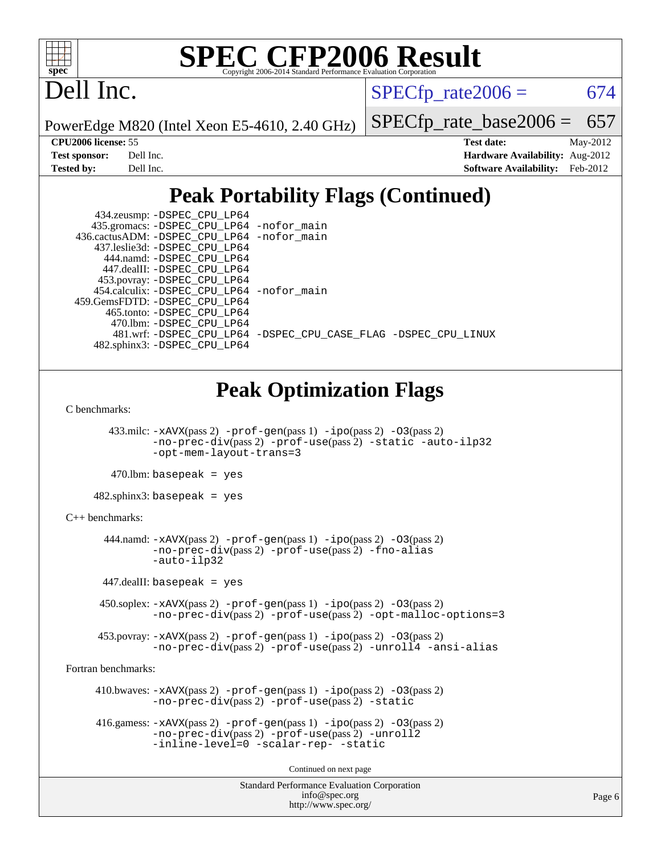

## Dell Inc.

 $SPECTp\_rate2006 = 674$ 

PowerEdge M820 (Intel Xeon E5-4610, 2.40 GHz)

[SPECfp\\_rate\\_base2006 =](http://www.spec.org/auto/cpu2006/Docs/result-fields.html#SPECfpratebase2006) 657

**[CPU2006 license:](http://www.spec.org/auto/cpu2006/Docs/result-fields.html#CPU2006license)** 55 **[Test date:](http://www.spec.org/auto/cpu2006/Docs/result-fields.html#Testdate)** May-2012 **[Test sponsor:](http://www.spec.org/auto/cpu2006/Docs/result-fields.html#Testsponsor)** Dell Inc. **[Hardware Availability:](http://www.spec.org/auto/cpu2006/Docs/result-fields.html#HardwareAvailability)** Aug-2012 **[Tested by:](http://www.spec.org/auto/cpu2006/Docs/result-fields.html#Testedby)** Dell Inc. **[Software Availability:](http://www.spec.org/auto/cpu2006/Docs/result-fields.html#SoftwareAvailability)** Feb-2012

### **[Peak Portability Flags \(Continued\)](http://www.spec.org/auto/cpu2006/Docs/result-fields.html#PeakPortabilityFlags)**

| 434.zeusmp: - DSPEC_CPU_LP64                 |                                                                |
|----------------------------------------------|----------------------------------------------------------------|
| 435.gromacs: -DSPEC_CPU_LP64 -nofor_main     |                                                                |
| 436.cactusADM: - DSPEC CPU LP64 - nofor main |                                                                |
| 437.leslie3d: -DSPEC CPU LP64                |                                                                |
| 444.namd: -DSPEC CPU LP64                    |                                                                |
| 447.dealII: -DSPEC CPU LP64                  |                                                                |
| 453.povray: -DSPEC_CPU_LP64                  |                                                                |
| 454.calculix: -DSPEC_CPU_LP64 -nofor_main    |                                                                |
| 459.GemsFDTD: -DSPEC CPU LP64                |                                                                |
| 465.tonto: -DSPEC CPU LP64                   |                                                                |
| 470.1bm: - DSPEC CPU LP64                    |                                                                |
|                                              | 481.wrf: -DSPEC CPU LP64 -DSPEC CPU CASE FLAG -DSPEC CPU LINUX |
| 482.sphinx3: -DSPEC CPU LP64                 |                                                                |

### **[Peak Optimization Flags](http://www.spec.org/auto/cpu2006/Docs/result-fields.html#PeakOptimizationFlags)**

[C benchmarks](http://www.spec.org/auto/cpu2006/Docs/result-fields.html#Cbenchmarks):

 433.milc: [-xAVX](http://www.spec.org/cpu2006/results/res2012q3/cpu2006-20120703-23412.flags.html#user_peakPASS2_CFLAGSPASS2_LDFLAGS433_milc_f-xAVX)(pass 2) [-prof-gen](http://www.spec.org/cpu2006/results/res2012q3/cpu2006-20120703-23412.flags.html#user_peakPASS1_CFLAGSPASS1_LDFLAGS433_milc_prof_gen_e43856698f6ca7b7e442dfd80e94a8fc)(pass 1) [-ipo](http://www.spec.org/cpu2006/results/res2012q3/cpu2006-20120703-23412.flags.html#user_peakPASS2_CFLAGSPASS2_LDFLAGS433_milc_f-ipo)(pass 2) [-O3](http://www.spec.org/cpu2006/results/res2012q3/cpu2006-20120703-23412.flags.html#user_peakPASS2_CFLAGSPASS2_LDFLAGS433_milc_f-O3)(pass 2) [-no-prec-div](http://www.spec.org/cpu2006/results/res2012q3/cpu2006-20120703-23412.flags.html#user_peakPASS2_CFLAGSPASS2_LDFLAGS433_milc_f-no-prec-div)(pass 2) [-prof-use](http://www.spec.org/cpu2006/results/res2012q3/cpu2006-20120703-23412.flags.html#user_peakPASS2_CFLAGSPASS2_LDFLAGS433_milc_prof_use_bccf7792157ff70d64e32fe3e1250b55)(pass 2) [-static](http://www.spec.org/cpu2006/results/res2012q3/cpu2006-20120703-23412.flags.html#user_peakOPTIMIZE433_milc_f-static) [-auto-ilp32](http://www.spec.org/cpu2006/results/res2012q3/cpu2006-20120703-23412.flags.html#user_peakCOPTIMIZE433_milc_f-auto-ilp32) [-opt-mem-layout-trans=3](http://www.spec.org/cpu2006/results/res2012q3/cpu2006-20120703-23412.flags.html#user_peakCOPTIMIZE433_milc_f-opt-mem-layout-trans_a7b82ad4bd7abf52556d4961a2ae94d5)

 $470.$ lbm: basepeak = yes

482.sphinx3: basepeak = yes

#### [C++ benchmarks:](http://www.spec.org/auto/cpu2006/Docs/result-fields.html#CXXbenchmarks)

 444.namd: [-xAVX](http://www.spec.org/cpu2006/results/res2012q3/cpu2006-20120703-23412.flags.html#user_peakPASS2_CXXFLAGSPASS2_LDFLAGS444_namd_f-xAVX)(pass 2) [-prof-gen](http://www.spec.org/cpu2006/results/res2012q3/cpu2006-20120703-23412.flags.html#user_peakPASS1_CXXFLAGSPASS1_LDFLAGS444_namd_prof_gen_e43856698f6ca7b7e442dfd80e94a8fc)(pass 1) [-ipo](http://www.spec.org/cpu2006/results/res2012q3/cpu2006-20120703-23412.flags.html#user_peakPASS2_CXXFLAGSPASS2_LDFLAGS444_namd_f-ipo)(pass 2) [-O3](http://www.spec.org/cpu2006/results/res2012q3/cpu2006-20120703-23412.flags.html#user_peakPASS2_CXXFLAGSPASS2_LDFLAGS444_namd_f-O3)(pass 2) [-no-prec-div](http://www.spec.org/cpu2006/results/res2012q3/cpu2006-20120703-23412.flags.html#user_peakPASS2_CXXFLAGSPASS2_LDFLAGS444_namd_f-no-prec-div)(pass 2) [-prof-use](http://www.spec.org/cpu2006/results/res2012q3/cpu2006-20120703-23412.flags.html#user_peakPASS2_CXXFLAGSPASS2_LDFLAGS444_namd_prof_use_bccf7792157ff70d64e32fe3e1250b55)(pass 2) [-fno-alias](http://www.spec.org/cpu2006/results/res2012q3/cpu2006-20120703-23412.flags.html#user_peakCXXOPTIMIZE444_namd_f-no-alias_694e77f6c5a51e658e82ccff53a9e63a) [-auto-ilp32](http://www.spec.org/cpu2006/results/res2012q3/cpu2006-20120703-23412.flags.html#user_peakCXXOPTIMIZE444_namd_f-auto-ilp32)

447.dealII: basepeak = yes

 450.soplex: [-xAVX](http://www.spec.org/cpu2006/results/res2012q3/cpu2006-20120703-23412.flags.html#user_peakPASS2_CXXFLAGSPASS2_LDFLAGS450_soplex_f-xAVX)(pass 2) [-prof-gen](http://www.spec.org/cpu2006/results/res2012q3/cpu2006-20120703-23412.flags.html#user_peakPASS1_CXXFLAGSPASS1_LDFLAGS450_soplex_prof_gen_e43856698f6ca7b7e442dfd80e94a8fc)(pass 1) [-ipo](http://www.spec.org/cpu2006/results/res2012q3/cpu2006-20120703-23412.flags.html#user_peakPASS2_CXXFLAGSPASS2_LDFLAGS450_soplex_f-ipo)(pass 2) [-O3](http://www.spec.org/cpu2006/results/res2012q3/cpu2006-20120703-23412.flags.html#user_peakPASS2_CXXFLAGSPASS2_LDFLAGS450_soplex_f-O3)(pass 2) [-no-prec-div](http://www.spec.org/cpu2006/results/res2012q3/cpu2006-20120703-23412.flags.html#user_peakPASS2_CXXFLAGSPASS2_LDFLAGS450_soplex_f-no-prec-div)(pass 2) [-prof-use](http://www.spec.org/cpu2006/results/res2012q3/cpu2006-20120703-23412.flags.html#user_peakPASS2_CXXFLAGSPASS2_LDFLAGS450_soplex_prof_use_bccf7792157ff70d64e32fe3e1250b55)(pass 2) [-opt-malloc-options=3](http://www.spec.org/cpu2006/results/res2012q3/cpu2006-20120703-23412.flags.html#user_peakOPTIMIZE450_soplex_f-opt-malloc-options_13ab9b803cf986b4ee62f0a5998c2238)

 453.povray: [-xAVX](http://www.spec.org/cpu2006/results/res2012q3/cpu2006-20120703-23412.flags.html#user_peakPASS2_CXXFLAGSPASS2_LDFLAGS453_povray_f-xAVX)(pass 2) [-prof-gen](http://www.spec.org/cpu2006/results/res2012q3/cpu2006-20120703-23412.flags.html#user_peakPASS1_CXXFLAGSPASS1_LDFLAGS453_povray_prof_gen_e43856698f6ca7b7e442dfd80e94a8fc)(pass 1) [-ipo](http://www.spec.org/cpu2006/results/res2012q3/cpu2006-20120703-23412.flags.html#user_peakPASS2_CXXFLAGSPASS2_LDFLAGS453_povray_f-ipo)(pass 2) [-O3](http://www.spec.org/cpu2006/results/res2012q3/cpu2006-20120703-23412.flags.html#user_peakPASS2_CXXFLAGSPASS2_LDFLAGS453_povray_f-O3)(pass 2) [-no-prec-div](http://www.spec.org/cpu2006/results/res2012q3/cpu2006-20120703-23412.flags.html#user_peakPASS2_CXXFLAGSPASS2_LDFLAGS453_povray_f-no-prec-div)(pass 2) [-prof-use](http://www.spec.org/cpu2006/results/res2012q3/cpu2006-20120703-23412.flags.html#user_peakPASS2_CXXFLAGSPASS2_LDFLAGS453_povray_prof_use_bccf7792157ff70d64e32fe3e1250b55)(pass 2) [-unroll4](http://www.spec.org/cpu2006/results/res2012q3/cpu2006-20120703-23412.flags.html#user_peakCXXOPTIMIZE453_povray_f-unroll_4e5e4ed65b7fd20bdcd365bec371b81f) [-ansi-alias](http://www.spec.org/cpu2006/results/res2012q3/cpu2006-20120703-23412.flags.html#user_peakCXXOPTIMIZE453_povray_f-ansi-alias)

[Fortran benchmarks](http://www.spec.org/auto/cpu2006/Docs/result-fields.html#Fortranbenchmarks):

 410.bwaves: [-xAVX](http://www.spec.org/cpu2006/results/res2012q3/cpu2006-20120703-23412.flags.html#user_peakPASS2_FFLAGSPASS2_LDFLAGS410_bwaves_f-xAVX)(pass 2) [-prof-gen](http://www.spec.org/cpu2006/results/res2012q3/cpu2006-20120703-23412.flags.html#user_peakPASS1_FFLAGSPASS1_LDFLAGS410_bwaves_prof_gen_e43856698f6ca7b7e442dfd80e94a8fc)(pass 1) [-ipo](http://www.spec.org/cpu2006/results/res2012q3/cpu2006-20120703-23412.flags.html#user_peakPASS2_FFLAGSPASS2_LDFLAGS410_bwaves_f-ipo)(pass 2) [-O3](http://www.spec.org/cpu2006/results/res2012q3/cpu2006-20120703-23412.flags.html#user_peakPASS2_FFLAGSPASS2_LDFLAGS410_bwaves_f-O3)(pass 2) [-no-prec-div](http://www.spec.org/cpu2006/results/res2012q3/cpu2006-20120703-23412.flags.html#user_peakPASS2_FFLAGSPASS2_LDFLAGS410_bwaves_f-no-prec-div)(pass 2) [-prof-use](http://www.spec.org/cpu2006/results/res2012q3/cpu2006-20120703-23412.flags.html#user_peakPASS2_FFLAGSPASS2_LDFLAGS410_bwaves_prof_use_bccf7792157ff70d64e32fe3e1250b55)(pass 2) [-static](http://www.spec.org/cpu2006/results/res2012q3/cpu2006-20120703-23412.flags.html#user_peakOPTIMIZE410_bwaves_f-static)

 416.gamess: [-xAVX](http://www.spec.org/cpu2006/results/res2012q3/cpu2006-20120703-23412.flags.html#user_peakPASS2_FFLAGSPASS2_LDFLAGS416_gamess_f-xAVX)(pass 2) [-prof-gen](http://www.spec.org/cpu2006/results/res2012q3/cpu2006-20120703-23412.flags.html#user_peakPASS1_FFLAGSPASS1_LDFLAGS416_gamess_prof_gen_e43856698f6ca7b7e442dfd80e94a8fc)(pass 1) [-ipo](http://www.spec.org/cpu2006/results/res2012q3/cpu2006-20120703-23412.flags.html#user_peakPASS2_FFLAGSPASS2_LDFLAGS416_gamess_f-ipo)(pass 2) [-O3](http://www.spec.org/cpu2006/results/res2012q3/cpu2006-20120703-23412.flags.html#user_peakPASS2_FFLAGSPASS2_LDFLAGS416_gamess_f-O3)(pass 2) [-no-prec-div](http://www.spec.org/cpu2006/results/res2012q3/cpu2006-20120703-23412.flags.html#user_peakPASS2_FFLAGSPASS2_LDFLAGS416_gamess_f-no-prec-div)(pass 2) [-prof-use](http://www.spec.org/cpu2006/results/res2012q3/cpu2006-20120703-23412.flags.html#user_peakPASS2_FFLAGSPASS2_LDFLAGS416_gamess_prof_use_bccf7792157ff70d64e32fe3e1250b55)(pass 2) [-unroll2](http://www.spec.org/cpu2006/results/res2012q3/cpu2006-20120703-23412.flags.html#user_peakOPTIMIZE416_gamess_f-unroll_784dae83bebfb236979b41d2422d7ec2) [-inline-level=0](http://www.spec.org/cpu2006/results/res2012q3/cpu2006-20120703-23412.flags.html#user_peakOPTIMIZE416_gamess_f-inline-level_318d07a09274ad25e8d15dbfaa68ba50) [-scalar-rep-](http://www.spec.org/cpu2006/results/res2012q3/cpu2006-20120703-23412.flags.html#user_peakOPTIMIZE416_gamess_f-disablescalarrep_abbcad04450fb118e4809c81d83c8a1d) [-static](http://www.spec.org/cpu2006/results/res2012q3/cpu2006-20120703-23412.flags.html#user_peakOPTIMIZE416_gamess_f-static)

Continued on next page

```
Standard Performance Evaluation Corporation
             info@spec.org
           http://www.spec.org/
```